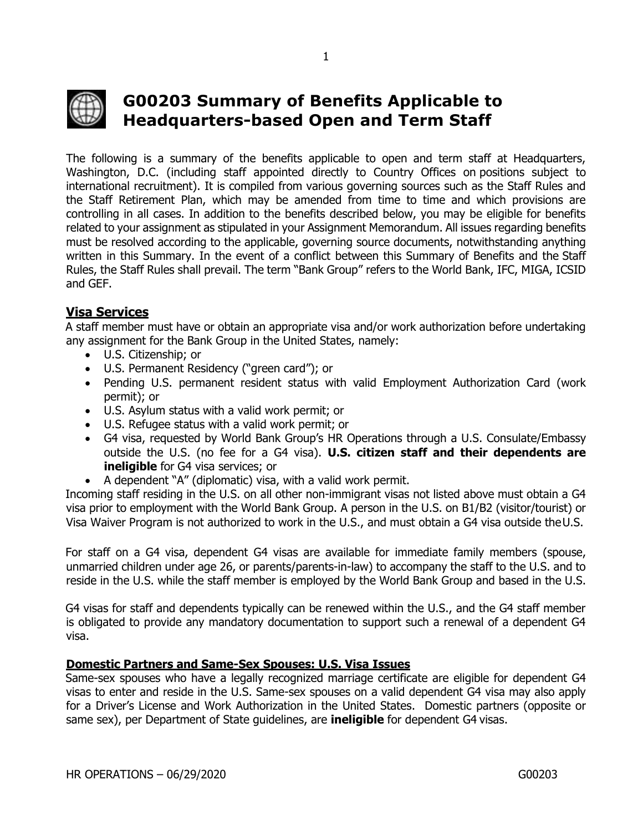

# **G00203 Summary of Benefits Applicable to Headquarters-based Open and Term Staff**

The following is a summary of the benefits applicable to open and term staff at Headquarters, Washington, D.C. (including staff appointed directly to Country Offices on positions subject to international recruitment). It is compiled from various governing sources such as the Staff Rules and the Staff Retirement Plan, which may be amended from time to time and which provisions are controlling in all cases. In addition to the benefits described below, you may be eligible for benefits related to your assignment as stipulated in your Assignment Memorandum. All issues regarding benefits must be resolved according to the applicable, governing source documents, notwithstanding anything written in this Summary. In the event of a conflict between this Summary of Benefits and the Staff Rules, the Staff Rules shall prevail. The term "Bank Group" refers to the World Bank, IFC, MIGA, ICSID and GEF.

# **Visa Services**

A staff member must have or obtain an appropriate visa and/or work authorization before undertaking any assignment for the Bank Group in the United States, namely:

- U.S. Citizenship; or
- U.S. Permanent Residency ("green card"); or
- Pending U.S. permanent resident status with valid Employment Authorization Card (work permit); or
- U.S. Asylum status with a valid work permit; or
- U.S. Refugee status with a valid work permit; or
- G4 visa, requested by World Bank Group's HR Operations through a U.S. Consulate/Embassy outside the U.S. (no fee for a G4 visa). **U.S. citizen staff and their dependents are ineligible** for G4 visa services; or
- A dependent "A" (diplomatic) visa, with a valid work permit.

Incoming staff residing in the U.S. on all other non-immigrant visas not listed above must obtain a G4 visa prior to employment with the World Bank Group. A person in the U.S. on B1/B2 (visitor/tourist) or Visa Waiver Program is not authorized to work in the U.S., and must obtain a G4 visa outside theU.S.

For staff on a G4 visa, dependent G4 visas are available for immediate family members (spouse, unmarried children under age 26, or parents/parents-in-law) to accompany the staff to the U.S. and to reside in the U.S. while the staff member is employed by the World Bank Group and based in the U.S.

G4 visas for staff and dependents typically can be renewed within the U.S., and the G4 staff member is obligated to provide any mandatory documentation to support such a renewal of a dependent G4 visa.

#### **Domestic Partners and Same-Sex Spouses: U.S. Visa Issues**

Same-sex spouses who have a legally recognized marriage certificate are eligible for dependent G4 visas to enter and reside in the U.S. Same-sex spouses on a valid dependent G4 visa may also apply for a Driver's License and Work Authorization in the United States. Domestic partners (opposite or same sex), per Department of State guidelines, are **ineligible** for dependent G4 visas.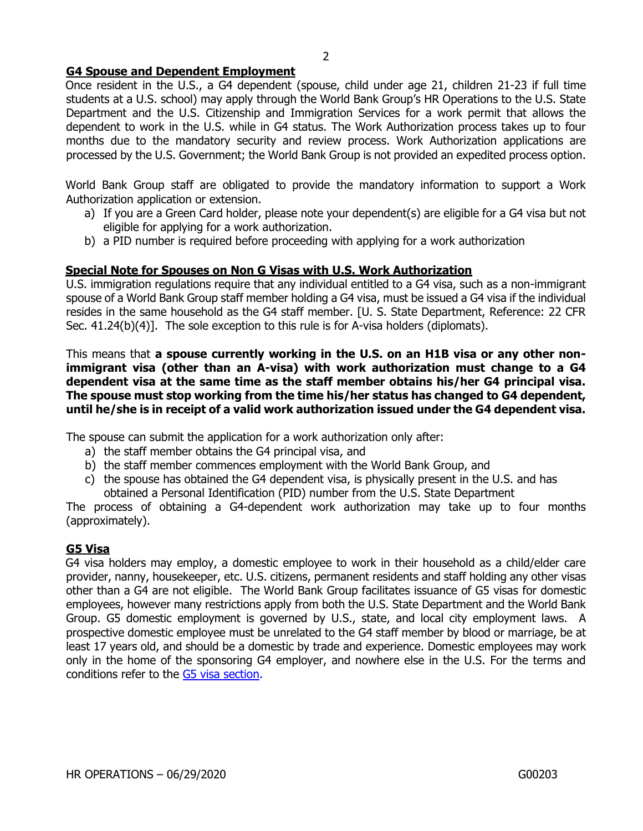#### **G4 Spouse and Dependent Employment**

Once resident in the U.S., a G4 dependent (spouse, child under age 21, children 21-23 if full time students at a U.S. school) may apply through the World Bank Group's HR Operations to the U.S. State Department and the U.S. Citizenship and Immigration Services for a work permit that allows the dependent to work in the U.S. while in G4 status. The Work Authorization process takes up to four months due to the mandatory security and review process. Work Authorization applications are processed by the U.S. Government; the World Bank Group is not provided an expedited process option.

World Bank Group staff are obligated to provide the mandatory information to support a Work Authorization application or extension.

- a) If you are a Green Card holder, please note your dependent(s) are eligible for a G4 visa but not eligible for applying for a work authorization.
- b) a PID number is required before proceeding with applying for a work authorization

#### **Special Note for Spouses on Non G Visas with U.S. Work Authorization**

U.S. immigration regulations require that any individual entitled to a G4 visa, such as a non-immigrant spouse of a World Bank Group staff member holding a G4 visa, must be issued a G4 visa if the individual resides in the same household as the G4 staff member. [U. S. State Department, Reference: 22 CFR Sec. 41.24(b)(4)]. The sole exception to this rule is for A-visa holders (diplomats).

This means that **a spouse currently working in the U.S. on an H1B visa or any other nonimmigrant visa (other than an A-visa) with work authorization must change to a G4 dependent visa at the same time as the staff member obtains his/her G4 principal visa. The spouse must stop working from the time his/her status has changed to G4 dependent, until he/she is in receipt of a valid work authorization issued under the G4 dependent visa.**

The spouse can submit the application for a work authorization only after:

- a) the staff member obtains the G4 principal visa, and
- b) the staff member commences employment with the World Bank Group, and
- c) the spouse has obtained the G4 dependent visa, is physically present in the U.S. and has obtained a Personal Identification (PID) number from the U.S. State Department

The process of obtaining a G4-dependent work authorization may take up to four months (approximately).

#### **G5 Visa**

G4 visa holders may employ, a domestic employee to work in their household as a child/elder care provider, nanny, housekeeper, etc. U.S. citizens, permanent residents and staff holding any other visas other than a G4 are not eligible. The World Bank Group facilitates issuance of G5 visas for domestic employees, however many restrictions apply from both the U.S. State Department and the World Bank Group. G5 domestic employment is governed by U.S., state, and local city employment laws. A prospective domestic employee must be unrelated to the G4 staff member by blood or marriage, be at least 17 years old, and should be a domestic by trade and experience. Domestic employees may work only in the home of the sponsoring G4 employer, and nowhere else in the U.S. For the terms and conditions refer to the [G5 visa section.](http://www.worldbank.org/en/about/unit/human-resources/request-g5-visa-for-a-prospective-domestic-employee-residing-outside-the-us?cq_ck=1553523949254)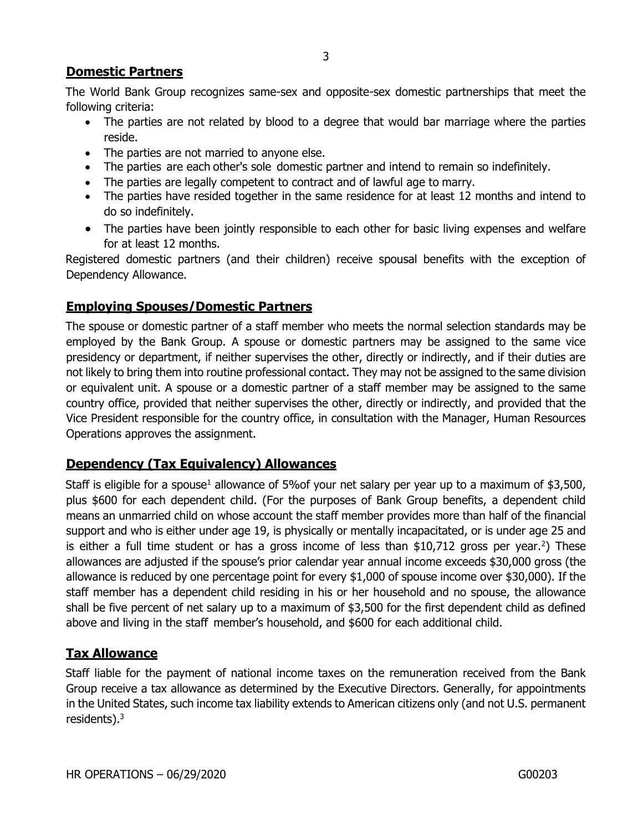# **Domestic Partners**

The World Bank Group recognizes same-sex and opposite-sex domestic partnerships that meet the following criteria:

- The parties are not related by blood to a degree that would bar marriage where the parties reside.
- The parties are not married to anyone else.
- The parties are each other's sole domestic partner and intend to remain so indefinitely.
- The parties are legally competent to contract and of lawful age to marry.
- The parties have resided together in the same residence for at least 12 months and intend to do so indefinitely.
- The parties have been jointly responsible to each other for basic living expenses and welfare for at least 12 months.

Registered domestic partners (and their children) receive spousal benefits with the exception of Dependency Allowance.

# **Employing Spouses/Domestic Partners**

The spouse or domestic partner of a staff member who meets the normal selection standards may be employed by the Bank Group. A spouse or domestic partners may be assigned to the same vice presidency or department, if neither supervises the other, directly or indirectly, and if their duties are not likely to bring them into routine professional contact. They may not be assigned to the same division or equivalent unit. A spouse or a domestic partner of a staff member may be assigned to the same country office, provided that neither supervises the other, directly or indirectly, and provided that the Vice President responsible for the country office, in consultation with the Manager, Human Resources Operations approves the assignment.

# **Dependency (Tax Equivalency) Allowances**

Staff is eligible for a spouse<sup>1</sup> allowance of 5% of your net salary per year up to a maximum of \$3,500, plus \$600 for each dependent child. (For the purposes of Bank Group benefits, a dependent child means an unmarried child on whose account the staff member provides more than half of the financial support and who is either under age 19, is physically or mentally incapacitated, or is under age 25 and is either a full time student or has a gross income of less than \$10,712 gross per year.<sup>2</sup>) These allowances are adjusted if the spouse's prior calendar year annual income exceeds \$30,000 gross (the allowance is reduced by one percentage point for every \$1,000 of spouse income over \$30,000). If the staff member has a dependent child residing in his or her household and no spouse, the allowance shall be five percent of net salary up to a maximum of \$3,500 for the first dependent child as defined above and living in the staff member's household, and \$600 for each additional child.

# **Tax Allowance**

Staff liable for the payment of national income taxes on the remuneration received from the Bank Group receive a tax allowance as determined by the Executive Directors. Generally, for appointments in the United States, such income tax liability extends to American citizens only (and not U.S. permanent residents).<sup>3</sup>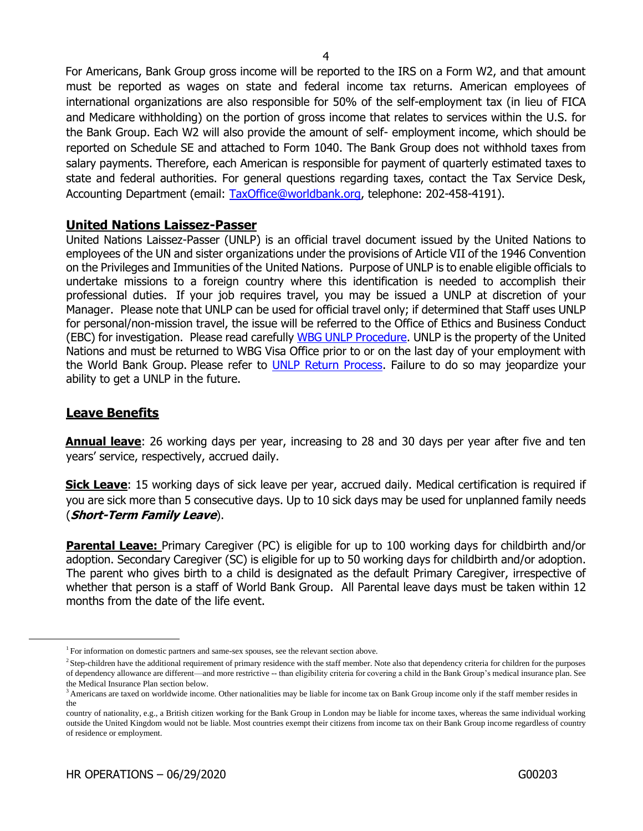For Americans, Bank Group gross income will be reported to the IRS on a Form W2, and that amount must be reported as wages on state and federal income tax returns. American employees of international organizations are also responsible for 50% of the self-employment tax (in lieu of FICA and Medicare withholding) on the portion of gross income that relates to services within the U.S. for the Bank Group. Each W2 will also provide the amount of self- employment income, which should be reported on Schedule SE and attached to Form 1040. The Bank Group does not withhold taxes from salary payments. Therefore, each American is responsible for payment of quarterly estimated taxes to state and federal authorities. For general questions regarding taxes, contact the Tax Service Desk, Accounting Department (email: [TaxOffice@worldbank.org,](mailto:TaxOffice@worldbank.org) telephone: 202-458-4191).

#### **United Nations Laissez-Passer**

United Nations Laissez-Passer (UNLP) is an official travel document issued by the United Nations to employees of the UN and sister organizations under the provisions of Article VII of the 1946 Convention on the Privileges and Immunities of the United Nations. Purpose of UNLP is to enable eligible officials to undertake missions to a foreign country where this identification is needed to accomplish their professional duties. If your job requires travel, you may be issued a UNLP at discretion of your Manager. Please note that UNLP can be used for official travel only; if determined that Staff uses UNLP for personal/non-mission travel, the issue will be referred to the Office of Ethics and Business Conduct (EBC) for investigation. Please read carefully [WBG UNLP Procedure.](https://spappscsec.worldbank.org/sites/ppf3/PPFDocuments/Forms/DispPage.aspx?docid=003c365e-1e8c-480e-81f9-9dd43a8dc04d) UNLP is the property of the United Nations and must be returned to WBG Visa Office prior to or on the last day of your employment with the World Bank Group. Please refer to [UNLP Return Process.](https://worldbankgroup.service-now.com/wbg?id=wbg_sc_catalog&sys_id=cd8b5327db540c102e3ec3af29961909) Failure to do so may jeopardize your ability to get a UNLP in the future.

#### **Leave Benefits**

**Annual leave**: 26 working days per year, increasing to 28 and 30 days per year after five and ten years' service, respectively, accrued daily.

**Sick Leave**: 15 working days of sick leave per year, accrued daily. Medical certification is required if you are sick more than 5 consecutive days. Up to 10 sick days may be used for unplanned family needs (**Short-Term Family Leave**).

**Parental Leave:** Primary Caregiver (PC) is eligible for up to 100 working days for childbirth and/or adoption. Secondary Caregiver (SC) is eligible for up to 50 working days for childbirth and/or adoption. The parent who gives birth to a child is designated as the default Primary Caregiver, irrespective of whether that person is a staff of World Bank Group. All Parental leave days must be taken within 12 months from the date of the life event.

<sup>&</sup>lt;sup>1</sup> For information on domestic partners and same-sex spouses, see the relevant section above.

<sup>&</sup>lt;sup>2</sup> Step-children have the additional requirement of primary residence with the staff member. Note also that dependency criteria for children for the purposes of dependency allowance are different—and more restrictive -- than eligibility criteria for covering a child in the Bank Group's medical insurance plan. See the Medical Insurance Plan section below.

<sup>&</sup>lt;sup>3</sup> Americans are taxed on worldwide income. Other nationalities may be liable for income tax on Bank Group income only if the staff member resides in the

country of nationality, e.g., a British citizen working for the Bank Group in London may be liable for income taxes, whereas the same individual working outside the United Kingdom would not be liable. Most countries exempt their citizens from income tax on their Bank Group income regardless of country of residence or employment.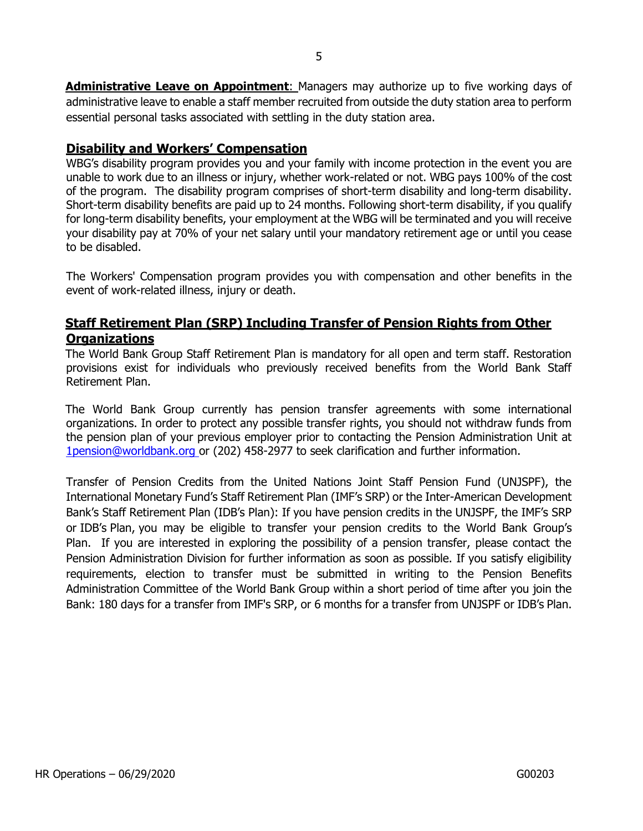**Administrative Leave on Appointment**: Managers may authorize up to five working days of administrative leave to enable a staff member recruited from outside the duty station area to perform essential personal tasks associated with settling in the duty station area.

## **Disability and Workers' Compensation**

WBG's disability program provides you and your family with income protection in the event you are unable to work due to an illness or injury, whether work-related or not. WBG pays 100% of the cost of the program. The disability program comprises of short-term disability and long-term disability. Short-term disability benefits are paid up to 24 months. Following short-term disability, if you qualify for long-term disability benefits, your employment at the WBG will be terminated and you will receive your disability pay at 70% of your net salary until your mandatory retirement age or until you cease to be disabled.

The Workers' Compensation program provides you with compensation and other benefits in the event of work-related illness, injury or death.

# **Staff Retirement Plan (SRP) Including Transfer of Pension Rights from Other Organizations**

The World Bank Group Staff Retirement Plan is mandatory for all open and term staff. Restoration provisions exist for individuals who previously received benefits from the World Bank Staff Retirement Plan.

The World Bank Group currently has pension transfer agreements with some international organizations. In order to protect any possible transfer rights, you should not withdraw funds from the pension plan of your previous employer prior to contacting the Pension Administration Unit at [1pension@worldbank.org or \(](mailto:1pension@worldbank.orgor)202) 458-2977 to seek clarification and further information.

Transfer of Pension Credits from the United Nations Joint Staff Pension Fund (UNJSPF), the International Monetary Fund's Staff Retirement Plan (IMF's SRP) or the Inter-American Development Bank's Staff Retirement Plan (IDB's Plan): If you have pension credits in the UNJSPF, the IMF's SRP or IDB's Plan, you may be eligible to transfer your pension credits to the World Bank Group's Plan. If you are interested in exploring the possibility of a pension transfer, please contact the Pension Administration Division for further information as soon as possible. If you satisfy eligibility requirements, election to transfer must be submitted in writing to the Pension Benefits Administration Committee of the World Bank Group within a short period of time after you join the Bank: 180 days for a transfer from IMF's SRP, or 6 months for a transfer from UNJSPF or IDB's Plan.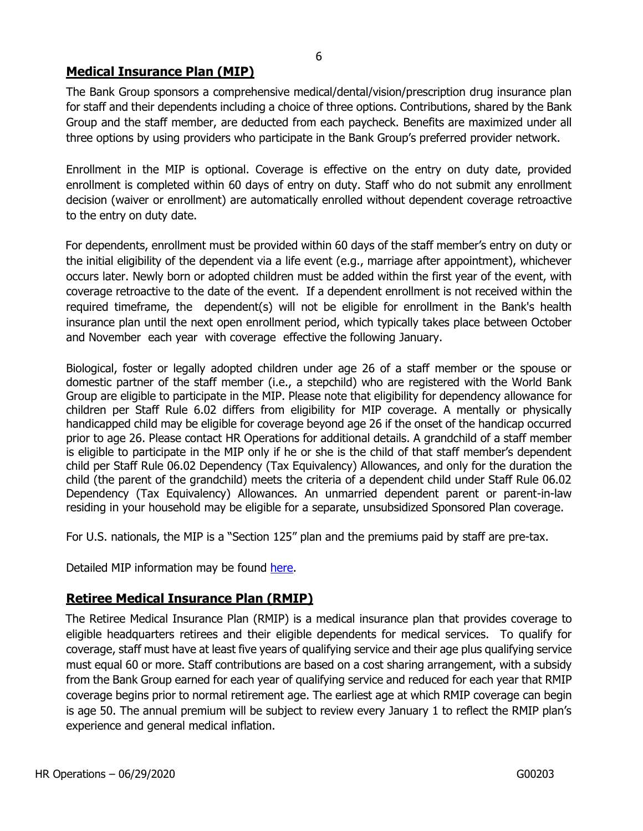# **Medical Insurance Plan (MIP)**

The Bank Group sponsors a comprehensive medical/dental/vision/prescription drug insurance plan for staff and their dependents including a choice of three options. Contributions, shared by the Bank Group and the staff member, are deducted from each paycheck. Benefits are maximized under all three options by using providers who participate in the Bank Group's preferred provider network.

Enrollment in the MIP is optional. Coverage is effective on the entry on duty date, provided enrollment is completed within 60 days of entry on duty. Staff who do not submit any enrollment decision (waiver or enrollment) are automatically enrolled without dependent coverage retroactive to the entry on duty date.

For dependents, enrollment must be provided within 60 days of the staff member's entry on duty or the initial eligibility of the dependent via a life event (e.g., marriage after appointment), whichever occurs later. Newly born or adopted children must be added within the first year of the event, with coverage retroactive to the date of the event. If a dependent enrollment is not received within the required timeframe, the dependent(s) will not be eligible for enrollment in the Bank's health insurance plan until the next open enrollment period, which typically takes place between October and November each year with coverage effective the following January.

Biological, foster or legally adopted children under age 26 of a staff member or the spouse or domestic partner of the staff member (i.e., a stepchild) who are registered with the World Bank Group are eligible to participate in the MIP. Please note that eligibility for dependency allowance for children per Staff Rule 6.02 differs from eligibility for MIP coverage. A mentally or physically handicapped child may be eligible for coverage beyond age 26 if the onset of the handicap occurred prior to age 26. Please contact HR Operations for additional details. A grandchild of a staff member is eligible to participate in the MIP only if he or she is the child of that staff member's dependent child per Staff Rule 06.02 Dependency (Tax Equivalency) Allowances, and only for the duration the child (the parent of the grandchild) meets the criteria of a dependent child under Staff Rule 06.02 Dependency (Tax Equivalency) Allowances. An unmarried dependent parent or parent-in-law residing in your household may be eligible for a separate, unsubsidized Sponsored Plan coverage.

For U.S. nationals, the MIP is a "Section 125" plan and the premiums paid by staff are pre-tax.

Detailed MIP information may be found [here](https://worldbankgroup.sharepoint.com/sites/hr/Pages/Services/Medical-Insurance-Plan-MIP-for-HQ-Staff-03312018-164709.aspx)[.](http://go.worldbank.org/LQXR35B0U0)

# **Retiree Medical Insurance Plan (RMIP)**

The Retiree Medical Insurance Plan (RMIP) is a medical insurance plan that provides coverage to eligible headquarters retirees and their eligible dependents for medical services. To qualify for coverage, staff must have at least five years of qualifying service and their age plus qualifying service must equal 60 or more. Staff contributions are based on a cost sharing arrangement, with a subsidy from the Bank Group earned for each year of qualifying service and reduced for each year that RMIP coverage begins prior to normal retirement age. The earliest age at which RMIP coverage can begin is age 50. The annual premium will be subject to review every January 1 to reflect the RMIP plan's experience and general medical inflation.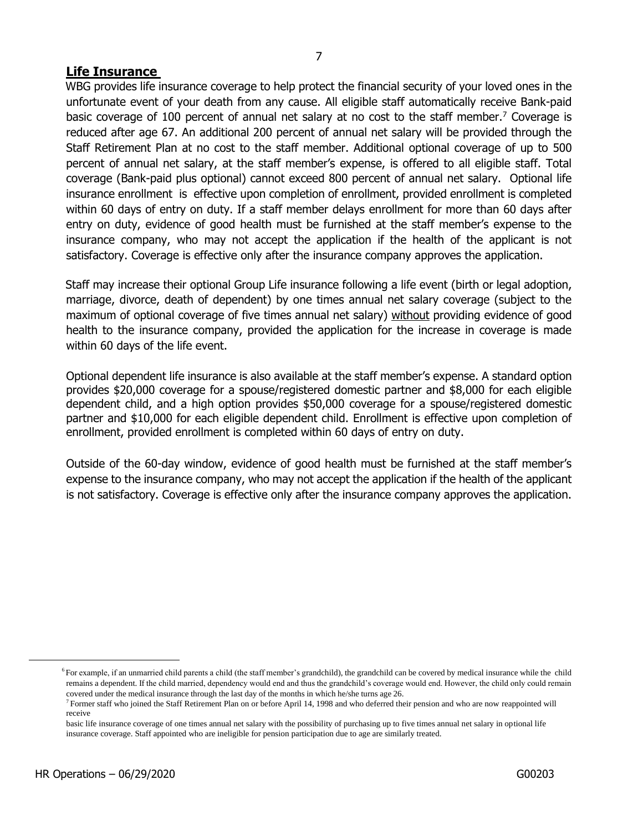#### **Life Insurance**

WBG provides life insurance coverage to help protect the financial security of your loved ones in the unfortunate event of your death from any cause. All eligible staff automatically receive Bank-paid basic coverage of 100 percent of annual net salary at no cost to the staff member.<sup>7</sup> Coverage is reduced after age 67. An additional 200 percent of annual net salary will be provided through the Staff Retirement Plan at no cost to the staff member. Additional optional coverage of up to 500 percent of annual net salary, at the staff member's expense, is offered to all eligible staff. Total coverage (Bank-paid plus optional) cannot exceed 800 percent of annual net salary. Optional life insurance enrollment is effective upon completion of enrollment, provided enrollment is completed within 60 days of entry on duty. If a staff member delays enrollment for more than 60 days after entry on duty, evidence of good health must be furnished at the staff member's expense to the insurance company, who may not accept the application if the health of the applicant is not satisfactory. Coverage is effective only after the insurance company approves the application.

Staff may increase their optional Group Life insurance following a life event (birth or legal adoption, marriage, divorce, death of dependent) by one times annual net salary coverage (subject to the maximum of optional coverage of five times annual net salary) without providing evidence of good health to the insurance company, provided the application for the increase in coverage is made within 60 days of the life event.

Optional dependent life insurance is also available at the staff member's expense. A standard option provides \$20,000 coverage for a spouse/registered domestic partner and \$8,000 for each eligible dependent child, and a high option provides \$50,000 coverage for a spouse/registered domestic partner and \$10,000 for each eligible dependent child. Enrollment is effective upon completion of enrollment, provided enrollment is completed within 60 days of entry on duty.

Outside of the 60-day window, evidence of good health must be furnished at the staff member's expense to the insurance company, who may not accept the application if the health of the applicant is not satisfactory. Coverage is effective only after the insurance company approves the application.

<sup>&</sup>lt;sup>6</sup>For example, if an unmarried child parents a child (the staff member's grandchild), the grandchild can be covered by medical insurance while the child remains a dependent. If the child married, dependency would end and thus the grandchild's coverage would end. However, the child only could remain covered under the medical insurance through the last day of the months in which he/she turns age 26.

 $<sup>7</sup>$  Former staff who joined the Staff Retirement Plan on or before April 14, 1998 and who deferred their pension and who are now reappointed will</sup> receive

basic life insurance coverage of one times annual net salary with the possibility of purchasing up to five times annual net salary in optional life insurance coverage. Staff appointed who are ineligible for pension participation due to age are similarly treated.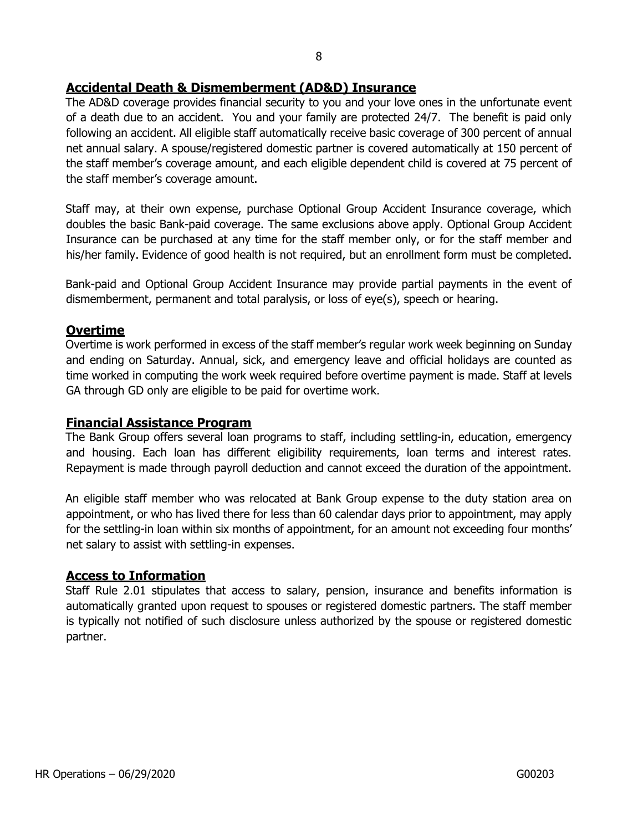## **Accidental Death & Dismemberment (AD&D) Insurance**

The AD&D coverage provides financial security to you and your love ones in the unfortunate event of a death due to an accident. You and your family are protected 24/7. The benefit is paid only following an accident. All eligible staff automatically receive basic coverage of 300 percent of annual net annual salary. A spouse/registered domestic partner is covered automatically at 150 percent of the staff member's coverage amount, and each eligible dependent child is covered at 75 percent of the staff member's coverage amount.

Staff may, at their own expense, purchase Optional Group Accident Insurance coverage, which doubles the basic Bank-paid coverage. The same exclusions above apply. Optional Group Accident Insurance can be purchased at any time for the staff member only, or for the staff member and his/her family. Evidence of good health is not required, but an enrollment form must be completed.

Bank-paid and Optional Group Accident Insurance may provide partial payments in the event of dismemberment, permanent and total paralysis, or loss of eye(s), speech or hearing.

#### **Overtime**

Overtime is work performed in excess of the staff member's regular work week beginning on Sunday and ending on Saturday. Annual, sick, and emergency leave and official holidays are counted as time worked in computing the work week required before overtime payment is made. Staff at levels GA through GD only are eligible to be paid for overtime work.

#### **Financial Assistance Program**

The Bank Group offers several loan programs to staff, including settling-in, education, emergency and housing. Each loan has different eligibility requirements, loan terms and interest rates. Repayment is made through payroll deduction and cannot exceed the duration of the appointment.

An eligible staff member who was relocated at Bank Group expense to the duty station area on appointment, or who has lived there for less than 60 calendar days prior to appointment, may apply for the settling-in loan within six months of appointment, for an amount not exceeding four months' net salary to assist with settling-in expenses.

#### **Access to Information**

Staff Rule 2.01 stipulates that access to salary, pension, insurance and benefits information is automatically granted upon request to spouses or registered domestic partners. The staff member is typically not notified of such disclosure unless authorized by the spouse or registered domestic partner.